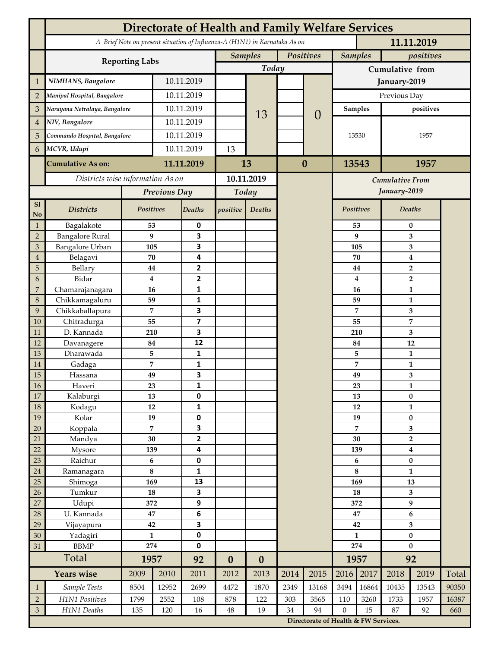|                 | <b>Directorate of Health and Family Welfare Services</b>                                 |                |            |                         |                  |                  |           |                                      |                  |                |                        |                  |       |  |
|-----------------|------------------------------------------------------------------------------------------|----------------|------------|-------------------------|------------------|------------------|-----------|--------------------------------------|------------------|----------------|------------------------|------------------|-------|--|
|                 | A Brief Note on present situation of Influenza-A (H1N1) in Karnataka As on<br>11.11.2019 |                |            |                         |                  |                  |           |                                      |                  |                |                        |                  |       |  |
|                 | <b>Reporting Labs</b>                                                                    |                |            |                         | <b>Samples</b>   |                  | Positives |                                      |                  | <b>Samples</b> |                        | positives        |       |  |
|                 |                                                                                          |                |            |                         |                  | Today            |           |                                      | Cumulative from  |                |                        |                  |       |  |
| $\mathbf{1}$    | NIMHANS, Bangalore                                                                       | 10.11.2019     |            |                         |                  |                  |           | January-2019                         |                  |                |                        |                  |       |  |
| $\overline{2}$  | Manipal Hospital, Bangalore                                                              |                |            | 10.11.2019              |                  |                  |           |                                      | Previous Day     |                |                        |                  |       |  |
| 3               | Narayana Netralaya, Bangalore                                                            |                |            | 10.11.2019              |                  |                  |           | <b>Samples</b>                       |                  | positives      |                        |                  |       |  |
| $\overline{4}$  | NIV, Bangalore                                                                           |                | 10.11.2019 |                         |                  | 13               |           | $\theta$                             |                  |                |                        |                  |       |  |
| 5               | Commando Hospital, Bangalore                                                             |                | 10.11.2019 |                         |                  |                  |           |                                      | 13530            |                | 1957                   |                  |       |  |
| 6               | MCVR, Udupi                                                                              |                | 10.11.2019 |                         | 13               |                  |           |                                      |                  |                |                        |                  |       |  |
|                 |                                                                                          |                |            | 11.11.2019              |                  |                  | $\bf{0}$  |                                      | 13543            |                | 1957                   |                  |       |  |
|                 | <b>Cumulative As on:</b>                                                                 |                |            |                         | 13               |                  |           |                                      |                  |                |                        |                  |       |  |
|                 | Districts wise information As on                                                         |                |            | 10.11.2019              |                  |                  |           |                                      |                  |                | <b>Cumulative From</b> |                  |       |  |
|                 |                                                                                          | Previous Day   |            | Today                   |                  |                  |           |                                      |                  | January-2019   |                        |                  |       |  |
| S1<br>No        | <b>Districts</b>                                                                         | Positives      |            | Deaths                  | positive         | Deaths           |           |                                      | Positives        |                |                        | Deaths           |       |  |
| $\mathbf{1}$    | Bagalakote                                                                               | 53             |            | 0                       |                  |                  |           |                                      |                  | 53             | $\bf{0}$               |                  |       |  |
| $\overline{2}$  | <b>Bangalore Rural</b>                                                                   | 9              |            | 3                       |                  |                  |           |                                      |                  | 9              | 3                      |                  |       |  |
| 3               | Bangalore Urban                                                                          | 105            |            | 3                       |                  |                  |           |                                      | 105              |                | 3                      |                  |       |  |
| $\overline{4}$  | Belagavi                                                                                 | 70             |            | 4                       |                  |                  |           |                                      |                  | 70             |                        | $\boldsymbol{4}$ |       |  |
| 5<br>6          | Bellary<br>Bidar                                                                         | 44<br>$\bf{4}$ |            | 2<br>$\mathbf{2}$       |                  |                  |           |                                      |                  | 44<br>4        |                        | $\overline{2}$   |       |  |
| 7               | Chamarajanagara                                                                          | 16             |            | 1                       |                  |                  |           |                                      |                  | 16             | $\overline{2}$<br>1    |                  |       |  |
| 8               | Chikkamagaluru                                                                           | 59             |            | 1                       |                  |                  |           |                                      |                  | 59             |                        | 1                |       |  |
| 9               | Chikkaballapura                                                                          | 7              |            | 3                       |                  |                  |           |                                      |                  | 7              |                        | 3                |       |  |
| 10              | Chitradurga                                                                              | 55             |            | $\overline{\mathbf{z}}$ |                  |                  |           |                                      |                  | 55             |                        | 7                |       |  |
| 11              | D. Kannada                                                                               | 210            |            | 3                       |                  |                  |           |                                      |                  | 210            |                        | 3                |       |  |
| 12              | Davanagere                                                                               | 84             |            | 12                      |                  |                  |           |                                      |                  | 84             |                        | 12               |       |  |
| 13              | Dharawada                                                                                | 5              |            | $\mathbf{1}$            |                  |                  |           |                                      |                  | 5              |                        | $\mathbf{1}$     |       |  |
| 14              | Gadaga                                                                                   | 7              |            | 1<br>3                  |                  |                  |           |                                      |                  | 7              |                        | 1                |       |  |
| 15<br><b>16</b> | Hassana<br>Haveri                                                                        | 49<br>23       |            | 1                       |                  |                  |           |                                      |                  | 49<br>23       |                        | 3<br>1           |       |  |
| 17              | Kalaburgi                                                                                | 13             |            | 0                       |                  |                  |           |                                      |                  | 13             | $\pmb{0}$              |                  |       |  |
| 18              | Kodagu                                                                                   | 12             |            | $\mathbf{1}$            |                  |                  |           |                                      |                  | 12             | $\mathbf{1}$           |                  |       |  |
| 19              | Kolar                                                                                    | 19             |            | 0                       |                  |                  |           |                                      |                  | 19             |                        | $\pmb{0}$        |       |  |
| 20              | Koppala                                                                                  | $\overline{7}$ |            | 3                       |                  |                  |           |                                      |                  | 7              |                        | 3                |       |  |
| 21              | Mandya                                                                                   | $30\,$         |            | $\mathbf{2}$            |                  |                  |           |                                      | 30               |                | $\mathbf 2$            |                  |       |  |
| 22              | Mysore                                                                                   | 139            |            | 4                       |                  |                  |           |                                      | 139              |                | $\boldsymbol{4}$       |                  |       |  |
| 23              | Raichur                                                                                  | $\bf 6$        |            | $\pmb{0}$               |                  |                  |           |                                      | 6                |                | $\pmb{0}$              |                  |       |  |
| $24\,$<br>25    | Ramanagara                                                                               | $\bf 8$<br>169 |            | 1<br>13                 |                  |                  |           |                                      | 8<br>169         |                | $\mathbf{1}$<br>13     |                  |       |  |
| 26              | Shimoga<br>Tumkur                                                                        | ${\bf 18}$     |            | 3                       |                  |                  |           |                                      | 18               |                | 3                      |                  |       |  |
| 27              | Udupi                                                                                    | 372            |            | 9                       |                  |                  |           |                                      |                  | 372            | 9                      |                  |       |  |
| 28              | U. Kannada                                                                               | $\bf 47$       |            | $\bf 6$                 |                  |                  |           |                                      | 47               |                | $\bf 6$                |                  |       |  |
| 29              | Vijayapura                                                                               | 42             |            | 3                       |                  |                  |           |                                      | 42               |                | 3                      |                  |       |  |
| 30              | Yadagiri                                                                                 | $\mathbf{1}$   |            | 0                       |                  |                  |           |                                      | $\mathbf{1}$     |                | $\pmb{0}$              |                  |       |  |
| 31              | <b>BBMP</b>                                                                              |                | 274        |                         |                  |                  |           |                                      | 274              |                | $\bf{0}$               |                  |       |  |
|                 | Total                                                                                    | 1957           |            | 92                      | $\boldsymbol{0}$ | $\boldsymbol{0}$ |           |                                      |                  | 1957           | 92                     |                  |       |  |
|                 | <b>Years wise</b>                                                                        | 2009           | 2010       | 2011                    | 2012             | 2013             | 2014      | 2015                                 | 2016             | 2017           | 2018                   | 2019             | Total |  |
| $\mathbf{1}$    | Sample Tests                                                                             | 8504           | 12952      | 2699                    | 4472             | 1870             | 2349      | 13168                                | 3494             | 16864          | 10435                  | 13543            | 90350 |  |
| $\overline{2}$  | H1N1 Positives                                                                           | 1799           | 2552       | 108                     | 878              | 122              | 303       | 3565                                 | 110              | 3260           | 1733                   | 1957             | 16387 |  |
| $\mathfrak{Z}$  | H1N1 Deaths                                                                              | 135            | 120        | 16                      | $48\,$           | 19               | 34        | 94                                   | $\boldsymbol{0}$ | 15             | 87                     | 92               | 660   |  |
|                 |                                                                                          |                |            |                         |                  |                  |           | Directorate of Health & FW Services. |                  |                |                        |                  |       |  |